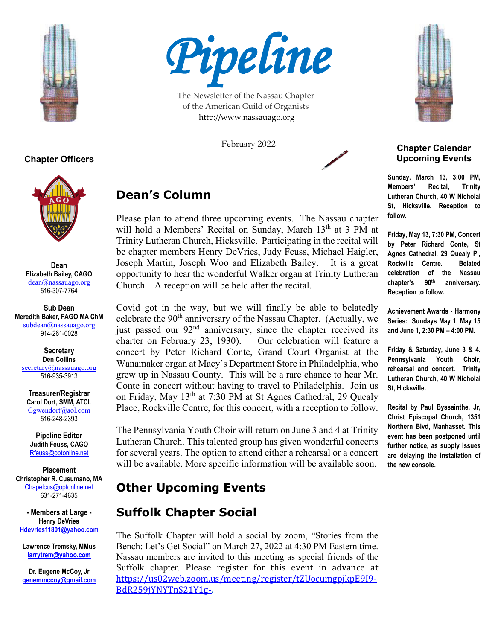

#### **Chapter Officers**



**Dean Elizabeth Bailey, CAGO** [dean@nassauago.org](mailto:dean@nassauago.org) 516-307-7764

**Sub Dean Meredith Baker, FAGO MA ChM** [subdean@nassauago.org](mailto:subdean@nassauago.org) 914-261-0028

**Secretary Den Collins** [secretary@nassauago.org](mailto:secretary@nassauago.org) 516-935-3913

**Treasurer/Registrar Carol Dort, SMM, ATCL** [Cgwendort@aol.com](mailto:Cgwendort@aol.com) 516-248-2393

**Pipeline Editor Judith Feuss, CAGO** [Rfeuss@optonline.net](mailto:Rfeuss@optonline.net)

**Placement Christopher R. Cusumano, MA** [Chapelcus@optonline.net](about:blank) 631-271-4635

**- Members at Large - Henry DeVries [Hdevries11801@yahoo.com](mailto:Hdevries11801@yahoo.com)**

**Lawrence Tremsky, MMus [larrytrem@yahoo.com](mailto:larrytrem@yahoo.com)**

**Dr. Eugene McCoy, Jr [genemmccoy@gmail.com](mailto:genemmccoy@gmail.com)**



The Newsletter of the Nassau Chapter of the American Guild of Organists http://www.nassauago.org

February 2022



### **Dean's Column**

Please plan to attend three upcoming events. The Nassau chapter will hold a Members' Recital on Sunday, March  $13<sup>th</sup>$  at 3 PM at Trinity Lutheran Church, Hicksville. Participating in the recital will be chapter members Henry DeVries, Judy Feuss, Michael Haigler, Joseph Martin, Joseph Woo and Elizabeth Bailey. It is a great opportunity to hear the wonderful Walker organ at Trinity Lutheran Church. A reception will be held after the recital.

Covid got in the way, but we will finally be able to belatedly celebrate the  $90<sup>th</sup>$  anniversary of the Nassau Chapter. (Actually, we just passed our  $92<sup>nd</sup>$  anniversary, since the chapter received its charter on February 23, 1930). Our celebration will feature a concert by Peter Richard Conte, Grand Court Organist at the Wanamaker organ at Macy's Department Store in Philadelphia, who grew up in Nassau County. This will be a rare chance to hear Mr. Conte in concert without having to travel to Philadelphia. Join us on Friday, May 13th at 7:30 PM at St Agnes Cathedral, 29 Quealy Place, Rockville Centre, for this concert, with a reception to follow.

The Pennsylvania Youth Choir will return on June 3 and 4 at Trinity Lutheran Church. This talented group has given wonderful concerts for several years. The option to attend either a rehearsal or a concert will be available. More specific information will be available soon.

### **Other Upcoming Events**

#### **Suffolk Chapter Social**

The Suffolk Chapter will hold a social by zoom, "Stories from the Bench: Let's Get Social" on March 27, 2022 at 4:30 PM Eastern time. Nassau members are invited to this meeting as special friends of the Suffolk chapter. Please register for this event in advance at [https://us02web.zoom.us/meeting/register/tZUocumgpjkpE9I9-](https://us02web.zoom.us/meeting/register/tZUocumgpjkpE9I9-BdR259jYNYTnS21Y1g-) [BdR259jYNYTnS21Y1g-.](https://us02web.zoom.us/meeting/register/tZUocumgpjkpE9I9-BdR259jYNYTnS21Y1g-)



#### **Chapter Calendar Upcoming Events**

**Sunday, March 13, 3:00 PM, Members' Recital, Trinity Lutheran Church, 40 W Nicholai St, Hicksville. Reception to follow.**

**Friday, May 13, 7:30 PM, Concert by Peter Richard Conte, St Agnes Cathedral, 29 Quealy Pl, Rockville Centre. Belated celebration of the Nassau chapter's 90th anniversary. Reception to follow.** 

**Achievement Awards - Harmony Series: Sundays May 1, May 15 and June 1, 2:30 PM – 4:00 PM.**

**Friday & Saturday, June 3 & 4. Pennsylvania Youth Choir, rehearsal and concert. Trinity Lutheran Church, 40 W Nicholai St, Hicksville.**

**Recital by Paul Byssainthe, Jr, Christ Episcopal Church, 1351 Northern Blvd, Manhasset. This event has been postponed until further notice, as supply issues are delaying the installation of the new console.**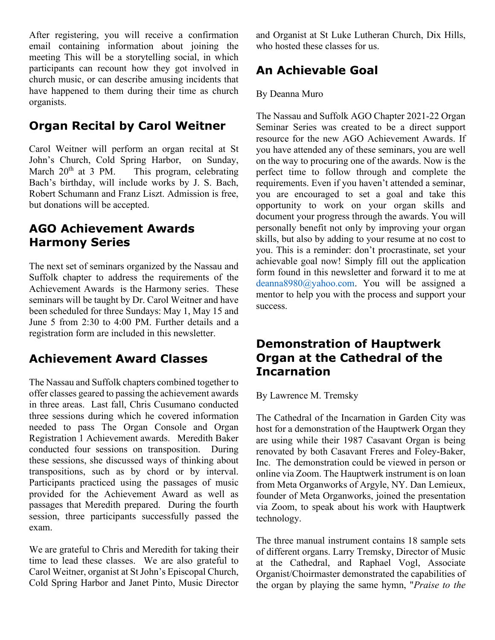After registering, you will receive a confirmation email containing information about joining the meeting This will be a storytelling social, in which participants can recount how they got involved in church music, or can describe amusing incidents that have happened to them during their time as church organists.

#### **Organ Recital by Carol Weitner**

Carol Weitner will perform an organ recital at St John's Church, Cold Spring Harbor, on Sunday,<br>March 20<sup>th</sup> at 3 PM. This program, celebrating This program, celebrating Bach's birthday, will include works by J. S. Bach, Robert Schumann and Franz Liszt. Admission is free, but donations will be accepted.

#### **AGO Achievement Awards Harmony Series**

The next set of seminars organized by the Nassau and Suffolk chapter to address the requirements of the Achievement Awards is the Harmony series. These seminars will be taught by Dr. Carol Weitner and have been scheduled for three Sundays: May 1, May 15 and June 5 from 2:30 to 4:00 PM. Further details and a registration form are included in this newsletter.

#### **Achievement Award Classes**

The Nassau and Suffolk chapters combined together to offer classes geared to passing the achievement awards in three areas. Last fall, Chris Cusumano conducted three sessions during which he covered information needed to pass The Organ Console and Organ Registration 1 Achievement awards. Meredith Baker conducted four sessions on transposition. During these sessions, she discussed ways of thinking about transpositions, such as by chord or by interval. Participants practiced using the passages of music provided for the Achievement Award as well as passages that Meredith prepared. During the fourth session, three participants successfully passed the exam.

We are grateful to Chris and Meredith for taking their time to lead these classes. We are also grateful to Carol Weitner, organist at St John's Episcopal Church, Cold Spring Harbor and Janet Pinto, Music Director and Organist at St Luke Lutheran Church, Dix Hills, who hosted these classes for us.

### **An Achievable Goal**

#### By Deanna Muro

The Nassau and Suffolk AGO Chapter 2021-22 Organ Seminar Series was created to be a direct support resource for the new AGO Achievement Awards. If you have attended any of these seminars, you are well on the way to procuring one of the awards. Now is the perfect time to follow through and complete the requirements. Even if you haven't attended a seminar, you are encouraged to set a goal and take this opportunity to work on your organ skills and document your progress through the awards. You will personally benefit not only by improving your organ skills, but also by adding to your resume at no cost to you. This is a reminder: don't procrastinate, set your achievable goal now! Simply fill out the application form found in this newsletter and forward it to me at deanna8980@yahoo.com. You will be assigned a mentor to help you with the process and support your success.

#### **Demonstration of Hauptwerk Organ at the Cathedral of the Incarnation**

By Lawrence M. Tremsky

The Cathedral of the Incarnation in Garden City was host for a demonstration of the Hauptwerk Organ they are using while their 1987 Casavant Organ is being renovated by both Casavant Freres and Foley-Baker, Inc. The demonstration could be viewed in person or online via Zoom. The Hauptwerk instrument is on loan from Meta Organworks of Argyle, NY. Dan Lemieux, founder of Meta Organworks, joined the presentation via Zoom, to speak about his work with Hauptwerk technology.

The three manual instrument contains 18 sample sets of different organs. Larry Tremsky, Director of Music at the Cathedral, and Raphael Vogl, Associate Organist/Choirmaster demonstrated the capabilities of the organ by playing the same hymn, "*Praise to the*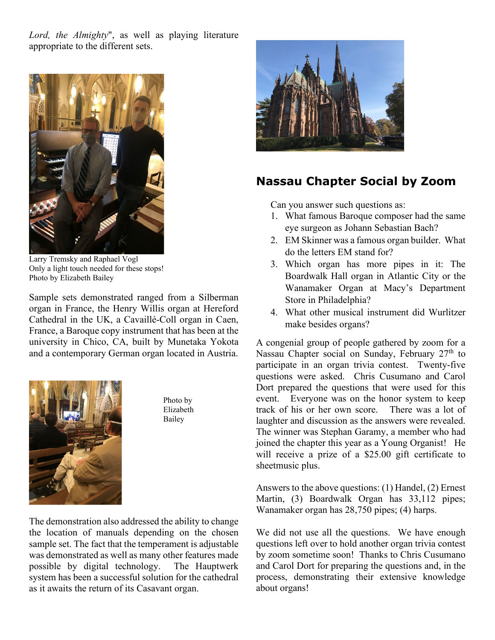*Lord, the Almighty*", as well as playing literature appropriate to the different sets.



Larry Tremsky and Raphael Vogl Only a light touch needed for these stops! Photo by Elizabeth Bailey

Sample sets demonstrated ranged from a Silberman organ in France, the Henry Willis organ at Hereford Cathedral in the UK, a Cavaillé-Coll organ in Caen, France, a Baroque copy instrument that has been at the university in Chico, CA, built by Munetaka Yokota and a contemporary German organ located in Austria.



Photo by Elizabeth Bailey

The demonstration also addressed the ability to change the location of manuals depending on the chosen sample set. The fact that the temperament is adjustable was demonstrated as well as many other features made possible by digital technology. The Hauptwerk system has been a successful solution for the cathedral as it awaits the return of its Casavant organ.



#### **Nassau Chapter Social by Zoom**

Can you answer such questions as:

- 1. What famous Baroque composer had the same eye surgeon as Johann Sebastian Bach?
- 2. EM Skinner was a famous organ builder. What do the letters EM stand for?
- 3. Which organ has more pipes in it: The Boardwalk Hall organ in Atlantic City or the Wanamaker Organ at Macy's Department Store in Philadelphia?
- 4. What other musical instrument did Wurlitzer make besides organs?

A congenial group of people gathered by zoom for a Nassau Chapter social on Sunday, February 27<sup>th</sup> to participate in an organ trivia contest. Twenty-five questions were asked. Chris Cusumano and Carol Dort prepared the questions that were used for this event. Everyone was on the honor system to keep<br>track of his or her own score. There was a lot of track of his or her own score. laughter and discussion as the answers were revealed. The winner was Stephan Garamy, a member who had joined the chapter this year as a Young Organist! He will receive a prize of a \$25.00 gift certificate to sheetmusic plus.

Answers to the above questions: (1) Handel, (2) Ernest Martin, (3) Boardwalk Organ has 33,112 pipes; Wanamaker organ has 28,750 pipes; (4) harps.

We did not use all the questions. We have enough questions left over to hold another organ trivia contest by zoom sometime soon! Thanks to Chris Cusumano and Carol Dort for preparing the questions and, in the process, demonstrating their extensive knowledge about organs!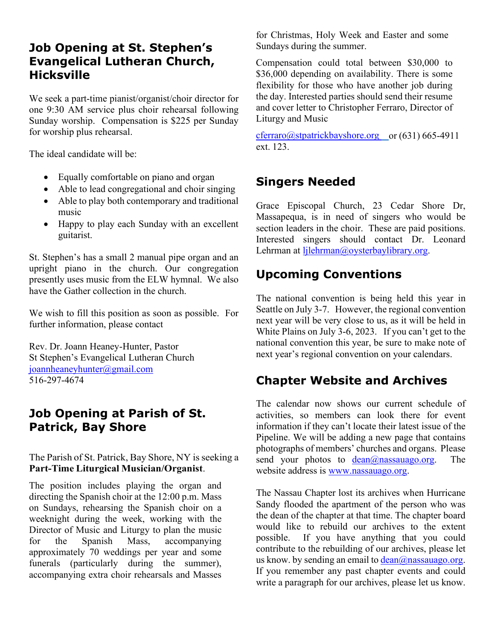#### **Job Opening at St. Stephen's Evangelical Lutheran Church, Hicksville**

We seek a part-time pianist/organist/choir director for one 9:30 AM service plus choir rehearsal following Sunday worship. Compensation is \$225 per Sunday for worship plus rehearsal.

The ideal candidate will be:

- Equally comfortable on piano and organ
- Able to lead congregational and choir singing
- Able to play both contemporary and traditional music
- Happy to play each Sunday with an excellent guitarist.

St. Stephen's has a small 2 manual pipe organ and an upright piano in the church. Our congregation presently uses music from the ELW hymnal. We also have the Gather collection in the church.

We wish to fill this position as soon as possible. For further information, please contact

Rev. Dr. Joann Heaney-Hunter, Pastor St Stephen's Evangelical Lutheran Church [joannheaneyhunter@gmail.com](mailto:joannheaneyhunter@gmail.com) 516-297-4674

#### **Job Opening at Parish of St. Patrick, Bay Shore**

The Parish of St. Patrick, Bay Shore, NY is seeking a **Part-Time Liturgical Musician/Organist**.

The position includes playing the organ and directing the Spanish choir at the 12:00 p.m. Mass on Sundays, rehearsing the Spanish choir on a weeknight during the week, working with the Director of Music and Liturgy to plan the music for the Spanish Mass, accompanying approximately 70 weddings per year and some funerals (particularly during the summer), accompanying extra choir rehearsals and Masses

for Christmas, Holy Week and Easter and some Sundays during the summer.

Compensation could total between \$30,000 to \$36,000 depending on availability. There is some flexibility for those who have another job during the day. Interested parties should send their resume and cover letter to Christopher Ferraro, Director of Liturgy and Music

 $c \frac{f}{c}$ erraro@stpatrickbayshore.org or (631) 665-4911 ext. 123.

#### **Singers Needed**

Grace Episcopal Church, 23 Cedar Shore Dr, Massapequa, is in need of singers who would be section leaders in the choir. These are paid positions. Interested singers should contact Dr. Leonard Lehrman at [ljlehrman@oysterbaylibrary.org.](mailto:ljlehrman@oysterbaylibrary.org)

### **Upcoming Conventions**

The national convention is being held this year in Seattle on July 3-7. However, the regional convention next year will be very close to us, as it will be held in White Plains on July 3-6, 2023. If you can't get to the national convention this year, be sure to make note of next year's regional convention on your calendars.

### **Chapter Website and Archives**

The calendar now shows our current schedule of activities, so members can look there for event information if they can't locate their latest issue of the Pipeline. We will be adding a new page that contains photographs of members' churches and organs. Please send your photos to  $dean(\omega)$ nassauago.org. The website address is [www.nassauago.org.](http://www.nassauago.org/)

The Nassau Chapter lost its archives when Hurricane Sandy flooded the apartment of the person who was the dean of the chapter at that time. The chapter board would like to rebuild our archives to the extent possible. If you have anything that you could contribute to the rebuilding of our archives, please let us know. by sending an email to  $dean(\theta)$ nassauago.org. If you remember any past chapter events and could write a paragraph for our archives, please let us know.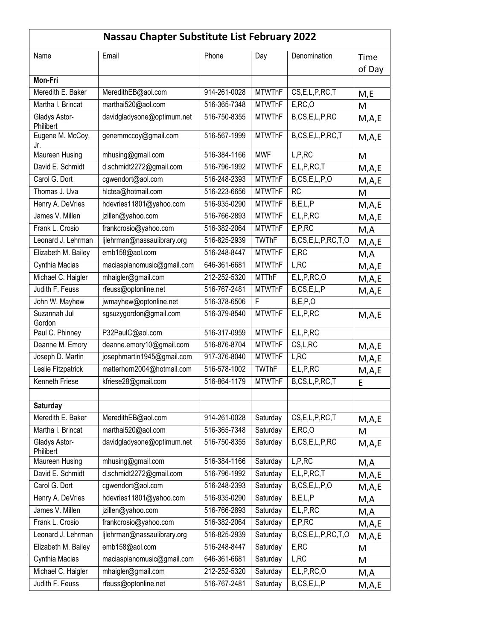| <b>Nassau Chapter Substitute List February 2022</b>      |                             |              |               |                    |                |
|----------------------------------------------------------|-----------------------------|--------------|---------------|--------------------|----------------|
| Name                                                     | Email                       | Phone        | Day           | Denomination       | Time<br>of Day |
| Mon-Fri                                                  |                             |              |               |                    |                |
| Meredith E. Baker                                        | MeredithEB@aol.com          |              | <b>MTWThF</b> | CS, E, L, P, RC, T | M,E            |
| Martha I. Brincat                                        | marthai520@aol.com          | 516-365-7348 | <b>MTWThF</b> | E, RC, O           | M              |
| Gladys Astor-<br>davidgladysone@optimum.net<br>Philibert |                             | 516-750-8355 | <b>MTWThF</b> | B,CS,E,L,P,RC      | M, A, E        |
| Eugene M. McCoy,<br>genemmccoy@gmail.com<br>Jr.          |                             | 516-567-1999 | <b>MTWThF</b> | B,CS,E,L,P,RC,T    | M, A, E        |
| Maureen Husing<br>mhusing@gmail.com                      |                             | 516-384-1166 | <b>MWF</b>    | L, P, RC           | М              |
| David E. Schmidt<br>d.schmidt2272@gmail.com              |                             | 516-796-1992 | <b>MTWThF</b> | E, L, P, RC, T     | M, A, E        |
| Carol G. Dort<br>cgwendort@aol.com                       |                             | 516-248-2393 | <b>MTWThF</b> | B, CS, E, L, P, O  | M, A, E        |
| hlctea@hotmail.com<br>Thomas J. Uva                      |                             | 516-223-6656 | <b>MTWThF</b> | <b>RC</b>          | M              |
| hdevries11801@yahoo.com<br>Henry A. DeVries              |                             | 516-935-0290 | <b>MTWThF</b> | B, E, L, P         | M,A,E          |
| James V. Millen                                          | jzillen@yahoo.com           | 516-766-2893 | <b>MTWThF</b> | E,L,P,RC           | M,A,E          |
| Frank L. Crosio                                          | frankcrosio@yahoo.com       | 516-382-2064 | <b>MTWThF</b> | E, P, RC           | M,A            |
| Leonard J. Lehrman                                       | ljlehrman@nassaulibrary.org | 516-825-2939 | <b>TWThF</b>  | B,CS,E,L,P,RC,T,O  | M, A, E        |
| Elizabeth M. Bailey                                      | emb158@aol.com              | 516-248-8447 | <b>MTWThF</b> | E, RC              | M,A            |
| Cynthia Macias                                           | maciaspianomusic@gmail.com  | 646-361-6681 | <b>MTWThF</b> | L,RC               | M,A,E          |
| Michael C. Haigler                                       | mhaigler@gmail.com          | 212-252-5320 | <b>MTThF</b>  | E, L, P, RC, O     | M,A,E          |
| Judith F. Feuss<br>rfeuss@optonline.net                  |                             | 516-767-2481 | <b>MTWThF</b> | B,CS,E,L,P         | M, A, E        |
| John W. Mayhew                                           | jwmayhew@optonline.net      |              | F.            | B, E, P, O         |                |
| Suzannah Jul<br>sgsuzygordon@gmail.com<br>Gordon         |                             | 516-379-8540 | <b>MTWThF</b> | E,L,P,RC           | M, A, E        |
| Paul C. Phinney                                          | P32PaulC@aol.com            | 516-317-0959 | <b>MTWThF</b> | E,L,P,RC           |                |
| deanne.emory10@gmail.com<br>Deanne M. Emory              |                             | 516-876-8704 | <b>MTWThF</b> | CS,L,RC            | M,A,E          |
| Joseph D. Martin<br>josephmartin1945@gmail.com           |                             | 917-376-8040 | <b>MTWThF</b> | L, RC              | M,A,E          |
| Leslie Fitzpatrick<br>matterhorn2004@hotmail.com         |                             | 516-578-1002 | <b>TWThF</b>  | E,L,P,RC           | M, A, E        |
| Kenneth Friese<br>kfriese28@gmail.com                    |                             | 516-864-1179 | <b>MTWThF</b> | B,CS,L,P,RC,T      | E              |
|                                                          |                             |              |               |                    |                |
| Saturday                                                 |                             |              |               |                    |                |
| Meredith E. Baker                                        | MeredithEB@aol.com          | 914-261-0028 | Saturday      | CS,E,L,P,RC,T      | M,A,E          |
| Martha I. Brincat<br>marthai520@aol.com                  |                             | 516-365-7348 | Saturday      | E, RC, O           | M              |
| Gladys Astor-<br>davidgladysone@optimum.net<br>Philibert |                             | 516-750-8355 | Saturday      | B,CS,E,L,P,RC      | M, A, E        |
| <b>Maureen Husing</b><br>mhusing@gmail.com               |                             | 516-384-1166 | Saturday      | L, P, RC           | M,A            |
| David E. Schmidt<br>d.schmidt2272@gmail.com              |                             | 516-796-1992 | Saturday      | E, L, P, RC, T     | M,A,E          |
| cgwendort@aol.com<br>Carol G. Dort                       |                             | 516-248-2393 | Saturday      | B, CS, E, L, P, O  | M,A,E          |
| Henry A. DeVries                                         | hdevries11801@yahoo.com     |              | Saturday      | B, E, L, P         | M,A            |
| James V. Millen<br>jzillen@yahoo.com                     |                             | 516-766-2893 | Saturday      | E,L,P,RC           | M,A            |
| Frank L. Crosio<br>frankcrosio@yahoo.com                 |                             | 516-382-2064 | Saturday      | E, P, RC           | M,A,E          |
| Leonard J. Lehrman                                       | ljlehrman@nassaulibrary.org | 516-825-2939 | Saturday      | B,CS,E,L,P,RC,T,O  | M,A,E          |
| Elizabeth M. Bailey                                      | emb158@aol.com              | 516-248-8447 | Saturday      | E, RC              | M              |
| Cynthia Macias<br>maciaspianomusic@gmail.com             |                             | 646-361-6681 | Saturday      | L,RC               | М              |
| Michael C. Haigler                                       | mhaigler@gmail.com          | 212-252-5320 | Saturday      | E, L, P, RC, O     | M,A            |
| Judith F. Feuss<br>rfeuss@optonline.net                  |                             | 516-767-2481 | Saturday      | B,CS,E,L,P         | M,A,E          |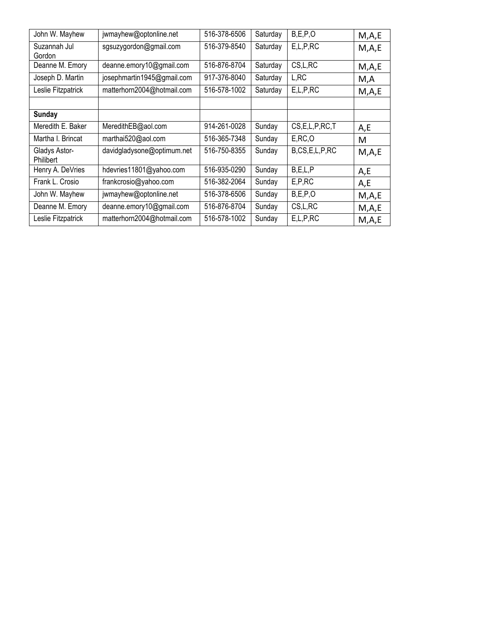| John W. Mayhew                                   | jwmayhew@optonline.net     |              | Saturday | B, E, P, O         | M, A, E |
|--------------------------------------------------|----------------------------|--------------|----------|--------------------|---------|
| Suzannah Jul<br>Gordon                           | sgsuzygordon@gmail.com     |              | Saturday | E,L,P,RC           | M, A, E |
| Deanne M. Emory                                  | deanne.emory10@gmail.com   |              | Saturday | CS,L,RC            | M, A, E |
| josephmartin1945@gmail.com<br>Joseph D. Martin   |                            | 917-376-8040 | Saturday | L,RC               | M,A     |
| Leslie Fitzpatrick<br>matterhorn2004@hotmail.com |                            | 516-578-1002 | Saturday | E,L,P,RC           | M, A, E |
|                                                  |                            |              |          |                    |         |
| <b>Sunday</b>                                    |                            |              |          |                    |         |
| Meredith E. Baker<br>MeredithEB@aol.com          |                            | 914-261-0028 | Sunday   | CS, E, L, P, RC, T | A,E     |
| Martha I. Brincat                                | marthai520@aol.com         |              | Sunday   | E, RC, O           | M       |
| Gladys Astor-<br>Philibert                       | davidgladysone@optimum.net |              | Sunday   | B,CS,E,L,P,RC      | M, A, E |
| Henry A. DeVries<br>hdevries11801@yahoo.com      |                            | 516-935-0290 | Sunday   | B, E, L, P         | A,E     |
| Frank L. Crosio<br>frankcrosio@yahoo.com         |                            | 516-382-2064 | Sunday   | E.P.RC             | A,E     |
| John W. Mayhew<br>jwmayhew@optonline.net         |                            | 516-378-6506 | Sunday   | B, E, P, O         | M, A, E |
| Deanne M. Emory<br>deanne.emory10@gmail.com      |                            | 516-876-8704 | Sunday   | CS, L, RC          | M, A, E |
| Leslie Fitzpatrick<br>matterhorn2004@hotmail.com |                            | 516-578-1002 | Sunday   | E,L,P,RC           | M, A, E |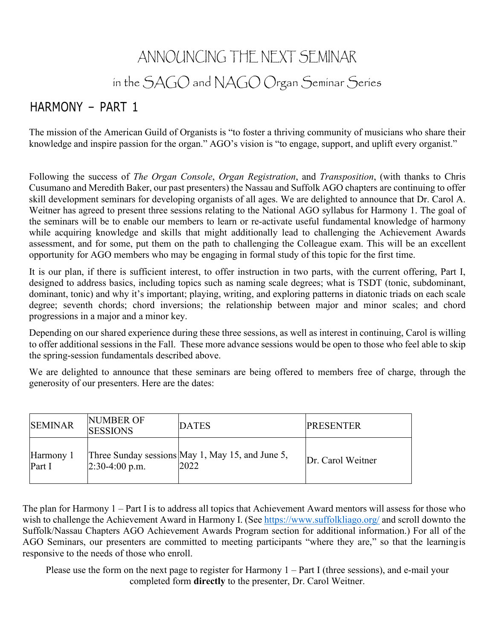# ANNOUNCING THE NEXT SEMINAR in the SAGO and NAGO Organ Seminar Series

### HARMONY – PART 1

The mission of the American Guild of Organists is "to foster a thriving community of musicians who share their knowledge and inspire passion for the organ." AGO's vision is "to engage, support, and uplift every organist."

Following the success of *The Organ Console*, *Organ Registration*, and *Transposition*, (with thanks to Chris Cusumano and Meredith Baker, our past presenters) the Nassau and Suffolk AGO chapters are continuing to offer skill development seminars for developing organists of all ages. We are delighted to announce that Dr. Carol A. Weitner has agreed to present three sessions relating to the National AGO syllabus for Harmony 1. The goal of the seminars will be to enable our members to learn or re-activate useful fundamental knowledge of harmony while acquiring knowledge and skills that might additionally lead to challenging the Achievement Awards assessment, and for some, put them on the path to challenging the Colleague exam. This will be an excellent opportunity for AGO members who may be engaging in formal study of this topic for the first time.

It is our plan, if there is sufficient interest, to offer instruction in two parts, with the current offering, Part I, designed to address basics, including topics such as naming scale degrees; what is TSDT (tonic, subdominant, dominant, tonic) and why it's important; playing, writing, and exploring patterns in diatonic triads on each scale degree; seventh chords; chord inversions; the relationship between major and minor scales; and chord progressions in a major and a minor key.

Depending on our shared experience during these three sessions, as well as interest in continuing, Carol is willing to offer additional sessions in the Fall. These more advance sessions would be open to those who feel able to skip the spring-session fundamentals described above.

We are delighted to announce that these seminars are being offered to members free of charge, through the generosity of our presenters. Here are the dates:

| <b>SEMINAR</b>      | <b>NUMBER OF</b><br><b>SESSIONS</b> | <b>DATES</b>                                             | <b>PRESENTER</b>  |
|---------------------|-------------------------------------|----------------------------------------------------------|-------------------|
| Harmony 1<br>Part I | $[2:30-4:00 p.m.$                   | Three Sunday sessions May 1, May 15, and June 5,<br>2022 | Dr. Carol Weitner |

The plan for Harmony 1 – Part I is to address all topics that Achievement Award mentors will assess for those who wish to challenge the Achievement Award in Harmony I. (See https:/[/www.suffolkliago.org/](http://www.suffolkliago.org/) and scroll downto the Suffolk/Nassau Chapters AGO Achievement Awards Program section for additional information.) For all of the AGO Seminars, our presenters are committed to meeting participants "where they are," so that the learningis responsive to the needs of those who enroll.

Please use the form on the next page to register for Harmony 1 – Part I (three sessions), and e-mail your completed form **directly** to the presenter, Dr. Carol Weitner.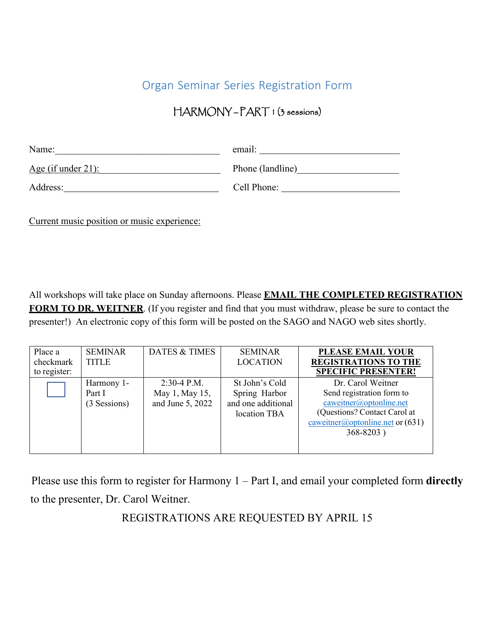#### Organ Seminar Series Registration Form

### HARMONY – PART 1 (3 sessions)

| email:           |
|------------------|
| Phone (landline) |
| Cell Phone:      |
|                  |

Current music position or music experience:

All workshops will take place on Sunday afternoons. Please **EMAIL THE COMPLETED REGISTRATION FORM TO DR. WEITNER**. (If you register and find that you must withdraw, please be sure to contact the presenter!) An electronic copy of this form will be posted on the SAGO and NAGO web sites shortly.

| Place a<br>checkmark<br>to register: | <b>SEMINAR</b><br><b>TITLE</b>       | DATES & TIMES                                       | <b>SEMINAR</b><br><b>LOCATION</b>                                     | PLEASE EMAIL YOUR<br><b>REGISTRATIONS TO THE</b><br><b>SPECIFIC PRESENTER!</b>                                                                                    |
|--------------------------------------|--------------------------------------|-----------------------------------------------------|-----------------------------------------------------------------------|-------------------------------------------------------------------------------------------------------------------------------------------------------------------|
|                                      | Harmony 1-<br>Part I<br>(3 Sessions) | $2:30-4$ P.M.<br>May 1, May 15,<br>and June 5, 2022 | St John's Cold<br>Spring Harbor<br>and one additional<br>location TBA | Dr. Carol Weitner<br>Send registration form to<br>caweitner@optonline.net<br>(Questions? Contact Carol at<br>caweitner@optonline.net or $(631)$<br>$368 - 8203$ ) |

Please use this form to register for Harmony 1 – Part I, and email your completed form **directly** to the presenter, Dr. Carol Weitner.

#### REGISTRATIONS ARE REQUESTED BY APRIL 15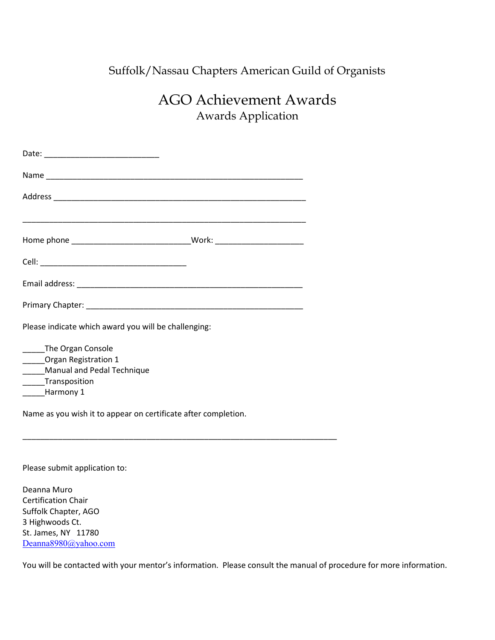#### Suffolk/Nassau Chapters American Guild of Organists

### AGO Achievement Awards Awards Application

| Home phone __________________________________Work: _____________________________                    |  |  |  |  |
|-----------------------------------------------------------------------------------------------------|--|--|--|--|
|                                                                                                     |  |  |  |  |
|                                                                                                     |  |  |  |  |
|                                                                                                     |  |  |  |  |
| Please indicate which award you will be challenging:                                                |  |  |  |  |
| The Organ Console<br>_____Organ Registration 1<br>Manual and Pedal Technique<br>______Transposition |  |  |  |  |

\_\_\_\_\_Harmony 1

Name as you wish it to appear on certificate after completion.

\_\_\_\_\_\_\_\_\_\_\_\_\_\_\_\_\_\_\_\_\_\_\_\_\_\_\_\_\_\_\_\_\_\_\_\_\_\_\_\_\_\_\_\_\_\_\_\_\_\_\_\_\_\_\_\_\_\_\_\_\_\_\_\_\_\_\_\_\_\_\_

Please submit application to:

Deanna Muro Certification Chair Suffolk Chapter, AGO 3 Highwoods Ct. St. James, NY 11780 [Deanna8980@yahoo.com](mailto:Deanna8980@yahoo.com)

You will be contacted with your mentor's information. Please consult the manual of procedure for more information.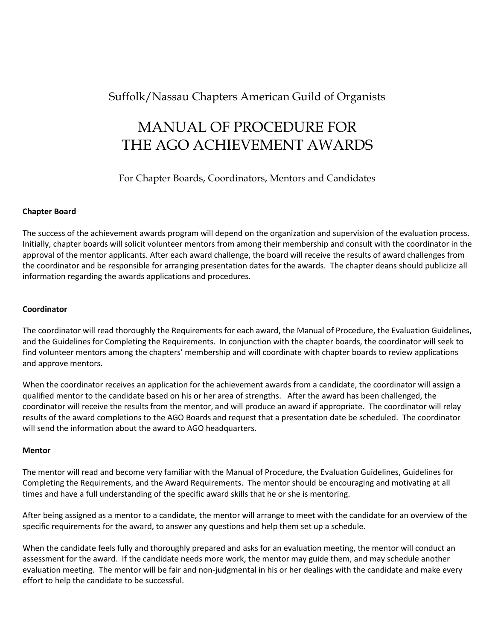#### Suffolk/Nassau Chapters American Guild of Organists

## MANUAL OF PROCEDURE FOR THE AGO ACHIEVEMENT AWARDS

For Chapter Boards, Coordinators, Mentors and Candidates

#### **Chapter Board**

The success of the achievement awards program will depend on the organization and supervision of the evaluation process. Initially, chapter boards will solicit volunteer mentors from among their membership and consult with the coordinator in the approval of the mentor applicants. After each award challenge, the board will receive the results of award challenges from the coordinator and be responsible for arranging presentation dates for the awards. The chapter deans should publicize all information regarding the awards applications and procedures.

#### **Coordinator**

The coordinator will read thoroughly the Requirements for each award, the Manual of Procedure, the Evaluation Guidelines, and the Guidelines for Completing the Requirements. In conjunction with the chapter boards, the coordinator will seek to find volunteer mentors among the chapters' membership and will coordinate with chapter boards to review applications and approve mentors.

When the coordinator receives an application for the achievement awards from a candidate, the coordinator will assign a qualified mentor to the candidate based on his or her area of strengths. After the award has been challenged, the coordinator will receive the results from the mentor, and will produce an award if appropriate. The coordinator will relay results of the award completions to the AGO Boards and request that a presentation date be scheduled. The coordinator will send the information about the award to AGO headquarters.

#### **Mentor**

The mentor will read and become very familiar with the Manual of Procedure, the Evaluation Guidelines, Guidelines for Completing the Requirements, and the Award Requirements. The mentor should be encouraging and motivating at all times and have a full understanding of the specific award skills that he or she is mentoring.

After being assigned as a mentor to a candidate, the mentor will arrange to meet with the candidate for an overview of the specific requirements for the award, to answer any questions and help them set up a schedule.

When the candidate feels fully and thoroughly prepared and asks for an evaluation meeting, the mentor will conduct an assessment for the award. If the candidate needs more work, the mentor may guide them, and may schedule another evaluation meeting. The mentor will be fair and non-judgmental in his or her dealings with the candidate and make every effort to help the candidate to be successful.